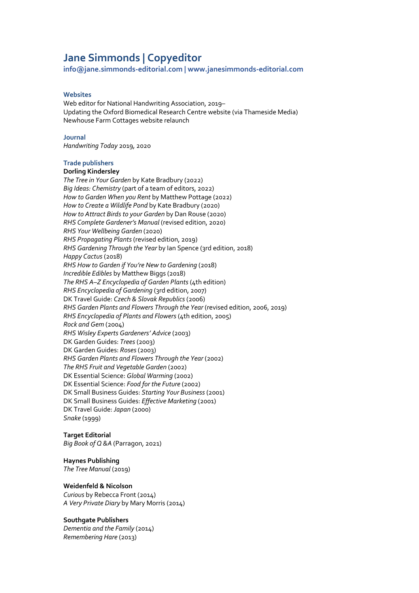# **Jane Simmonds | Copyeditor**

**info@jane.simmonds-editorial.com | www.janesimmonds-editorial.com**

#### **Websites**

Web editor for National Handwriting Association, 2019– Updating the Oxford Biomedical Research Centre website (via Thameside Media) Newhouse Farm Cottages website relaunch

#### **Journal**

*Handwriting Today* 2019, 2020

#### **Trade publishers**

#### **Dorling Kindersley**

*The Tree in Your Garden* by Kate Bradbury (2022) *Big Ideas: Chemistry* (part of a team of editors, 2022) *How to Garden When you Rent* by Matthew Pottage (2022) *How to Create a Wildlife Pond* by Kate Bradbury (2020) *How to Attract Birds to your Garden* by Dan Rouse (2020) *RHS Complete Gardener's Manual* (revised edition, 2020) *RHS Your Wellbeing Garden* (2020) *RHS Propagating Plants* (revised edition, 2019) *RHS Gardening Through the Year* by Ian Spence (3rd edition, 2018) *Happy Cactus* (2018) *RHS How to Garden if You're New to Gardening* (2018) *Incredible Edibles* by Matthew Biggs (2018) *The RHS A–Z Encyclopedia of Garden Plants*(4th edition) *RHS Encyclopedia of Gardening* (3rd edition, 2007) DK Travel Guide: *Czech & Slovak Republics*(2006) *RHS Garden Plants and Flowers Through the Year* (revised edition, 2006, 2019) *RHS Encyclopedia of Plants and Flowers*(4th edition, 2005) *Rock and Gem* (2004) *RHS Wisley Experts Gardeners' Advice* (2003) DK Garden Guides: *Trees*(2003) DK Garden Guides: *Roses*(2003) *RHS Garden Plants and Flowers Through the Year* (2002) *The RHS Fruit and Vegetable Garden* (2002) DK Essential Science: *Global Warming* (2002) DK Essential Science: *Food for the Future* (2002) DK Small Business Guides: *Starting Your Business*(2001) DK Small Business Guides: *Effective Marketing* (2001) DK Travel Guide: *Japan* (2000) *Snake* (1999)

# **Target Editorial**

*Big Book of Q &A* (Parragon, 2021)

#### **Haynes Publishing**

*The Tree Manual* (2019)

#### **Weidenfeld & Nicolson**

*Curious* by Rebecca Front (2014) *A Very Private Diary* by Mary Morris (2014)

## **Southgate Publishers**

*Dementia and the Family* (2014) *Remembering Hare* (2013)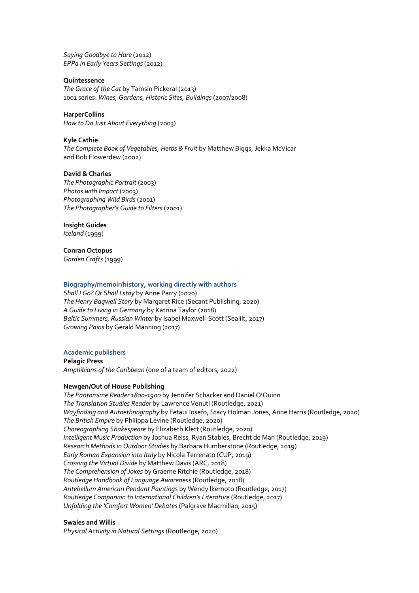*Saying Goodbye to Hare* (2012) *EPPa in Early Years Settings*(2012)

## **Quintessence**

*The Grace of the Cat* by Tamsin Pickeral (2013) 1001 series: *Wines, Gardens, Historic Sites, Buildings*(2007/2008)

## **HarperCollins**

*How to Do Just About Everything* (2003)

## **Kyle Cathie**

*The Complete Book of Vegetables, Herbs & Fruit* by Matthew Biggs, Jekka McVicar and Bob Flowerdew (2002)

## **David & Charles**

*The Photographic Portrait* (2003) *Photos with Impact* (2003) *Photographing Wild Birds*(2001) *The Photographer's Guide to Filters*(2001)

# **Insight Guides**

*Iceland* (1999)

**Conran Octopus** *Garden Crafts*(1999)

## **Biography/memoir/history, working directly with authors**

*Shall I Go? Or Shall I stay* by Anne Parry (2020) *The Henry Bagwell Story* by Margaret Rice (Secant Publishing, 2020) *A Guide to Living in Germany* by Katrina Taylor (2018) *Baltic Summers, Russian Winter* by Isabel Maxwell-Scott (Sealilt, 2017) *Growing Pains* by Gerald Manning (2017)

# **Academic publishers**

**Pelagic Press** *Amphibians of the Caribbean* (one of a team of editors, 2022)

# **Newgen/Out of House Publishing**

*The Pantomime Reader 1800-1900* by Jennifer Schacker and Daniel O'Quinn *The Translation Studies Reader* by Lawrence Venuti (Routledge, 2021) *Wayfinding and Autoethnography* by Fetaui Iosefo, Stacy Holman Jones, Anne Harris (Routledge, 2020) *The British Empire* by Philippa Levine (Routledge, 2020) *Choreographing Shakespeare* by Elizabeth Klett (Routledge, 2020) *Intelligent Music Production* by Joshua Reiss, Ryan Stables, Brecht de Man (Routledge, 2019) *Research Methods in Outdoor Studies* by Barbara Humberstone (Routledge, 2019) *Early Roman Expansion into Italy* by Nicola Terrenato (CUP, 2019) *Crossing the Virtual Divide* by Matthew Davis (ARC, 2018) *The Comprehension of Jokes* by Graeme Ritchie (Routledge, 2018) *Routledge Handbook of Language Awareness*(Routledge, 2018) *Antebellum American Pendant Paintings* by Wendy Ikemoto (Routledge, 2017) *Routledge Companion to International Children's Literature* (Routledge, 2017) *Unfolding the 'Comfort Women' Debates*(Palgrave Macmillan, 2015)

# **Swales and Willis**

*Physical Activity in Natural Settings* (Routledge, 2020)